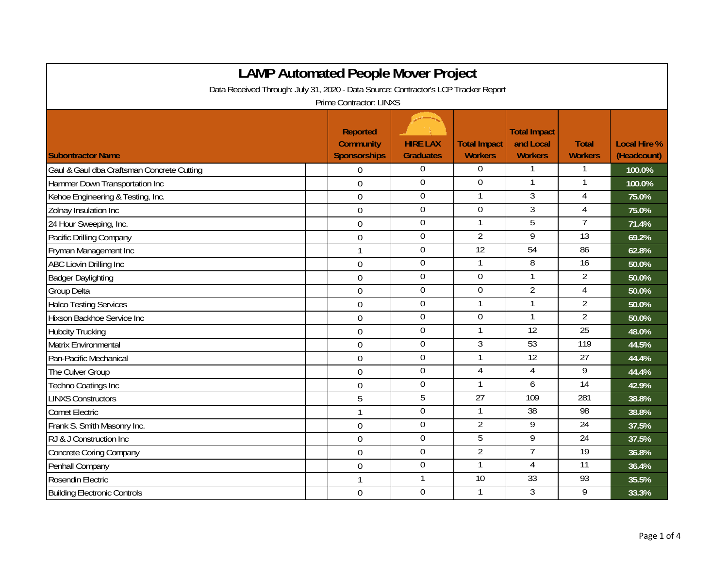| <b>LAMP Automated People Mover Project</b>                                          |                                                            |                                     |                                       |                                                    |                                |                                    |  |
|-------------------------------------------------------------------------------------|------------------------------------------------------------|-------------------------------------|---------------------------------------|----------------------------------------------------|--------------------------------|------------------------------------|--|
| Data Received Through: July 31, 2020 - Data Source: Contractor's LCP Tracker Report |                                                            |                                     |                                       |                                                    |                                |                                    |  |
| <b>Prime Contractor: LINXS</b>                                                      |                                                            |                                     |                                       |                                                    |                                |                                    |  |
| <b>Subontractor Name</b>                                                            | <b>Reported</b><br><b>Community</b><br><b>Sponsorships</b> | <b>HIRE LAX</b><br><b>Graduates</b> | <b>Total Impact</b><br><b>Workers</b> | <b>Total Impact</b><br>and Local<br><b>Workers</b> | <b>Total</b><br><b>Workers</b> | <b>Local Hire %</b><br>(Headcount) |  |
| Gaul & Gaul dba Craftsman Concrete Cutting                                          | $\boldsymbol{0}$                                           | $\overline{0}$                      | 0                                     | 1                                                  | 1                              | 100.0%                             |  |
| Hammer Down Transportation Inc                                                      | $\mathbf 0$                                                | $\overline{0}$                      | $\boldsymbol{0}$                      | $\mathbf{1}$                                       | -1                             | 100.0%                             |  |
| Kehoe Engineering & Testing, Inc.                                                   | $\mathbf 0$                                                | $\boldsymbol{0}$                    | 1                                     | $\overline{3}$                                     | 4                              | 75.0%                              |  |
| Zolnay Insulation Inc                                                               | $\overline{0}$                                             | $\overline{0}$                      | 0                                     | 3                                                  | $\overline{4}$                 | 75.0%                              |  |
| 24 Hour Sweeping, Inc.                                                              | $\overline{0}$                                             | $\mathbf 0$                         | 1                                     | $\overline{5}$                                     | 7                              | 71.4%                              |  |
| Pacific Drilling Company                                                            | $\boldsymbol{0}$                                           | $\mathbf 0$                         | $\overline{2}$                        | 9                                                  | $\overline{13}$                | 69.2%                              |  |
| Fryman Management Inc                                                               | $\mathbf{1}$                                               | $\overline{0}$                      | 12                                    | 54                                                 | 86                             | 62.8%                              |  |
| ABC Liovin Drilling Inc                                                             | $\mathbf 0$                                                | $\mathbf 0$                         | 1                                     | 8                                                  | $\overline{16}$                | 50.0%                              |  |
| <b>Badger Daylighting</b>                                                           | $\mathbf 0$                                                | $\mathbf 0$                         | $\mathbf 0$                           | $\mathbf{1}$                                       | $\overline{2}$                 | 50.0%                              |  |
| <b>Group Delta</b>                                                                  | $\overline{0}$                                             | $\mathbf 0$                         | $\overline{0}$                        | $\overline{2}$                                     | $\overline{4}$                 | 50.0%                              |  |
| <b>Halco Testing Services</b>                                                       | $\boldsymbol{0}$                                           | $\mathbf 0$                         | 1                                     | $\mathbf{1}$                                       | $\overline{2}$                 | 50.0%                              |  |
| Hixson Backhoe Service Inc                                                          | $\mathbf 0$                                                | $\boldsymbol{0}$                    | $\boldsymbol{0}$                      | $\mathbf{1}$                                       | $\overline{2}$                 | 50.0%                              |  |
| <b>Hubcity Trucking</b>                                                             | $\mathbf 0$                                                | $\mathbf 0$                         | $\mathbf{1}$                          | 12                                                 | 25                             | 48.0%                              |  |
| Matrix Environmental                                                                | $\mathbf 0$                                                | $\mathbf 0$                         | $\mathfrak{Z}$                        | 53                                                 | 119                            | 44.5%                              |  |
| Pan-Pacific Mechanical                                                              | $\overline{0}$                                             | $\boldsymbol{0}$                    | $\mathbf{1}$                          | 12                                                 | 27                             | 44.4%                              |  |
| The Culver Group                                                                    | $\boldsymbol{0}$                                           | $\mathbf 0$                         | $\overline{4}$                        | 4                                                  | 9                              | 44.4%                              |  |
| Techno Coatings Inc                                                                 | $\mathbf 0$                                                | $\overline{0}$                      | 1                                     | 6                                                  | 14                             | 42.9%                              |  |
| <b>LINXS Constructors</b>                                                           | 5                                                          | 5                                   | $\overline{27}$                       | 109                                                | 281                            | 38.8%                              |  |
| <b>Comet Electric</b>                                                               | 1                                                          | $\mathbf 0$                         | 1                                     | $\overline{38}$                                    | 98                             | 38.8%                              |  |
| Frank S. Smith Masonry Inc.                                                         | $\overline{0}$                                             | $\overline{0}$                      | $\overline{2}$                        | 9                                                  | 24                             | 37.5%                              |  |
| RJ & J Construction Inc                                                             | $\boldsymbol{0}$                                           | $\mathbf 0$                         | 5                                     | 9                                                  | $\overline{24}$                | 37.5%                              |  |
| <b>Concrete Coring Company</b>                                                      | $\mathbf 0$                                                | $\overline{0}$                      | $\overline{2}$                        | 7                                                  | 19                             | 36.8%                              |  |
| Penhall Company                                                                     | $\overline{0}$                                             | 0                                   | 1                                     | 4                                                  | 11                             | 36.4%                              |  |
| Rosendin Electric                                                                   | $\mathbf{1}$                                               | 1                                   | 10                                    | 33                                                 | 93                             | 35.5%                              |  |
| <b>Building Electronic Controls</b>                                                 | $\overline{0}$                                             | $\mathbf 0$                         | 1                                     | $\overline{3}$                                     | 9                              | 33.3%                              |  |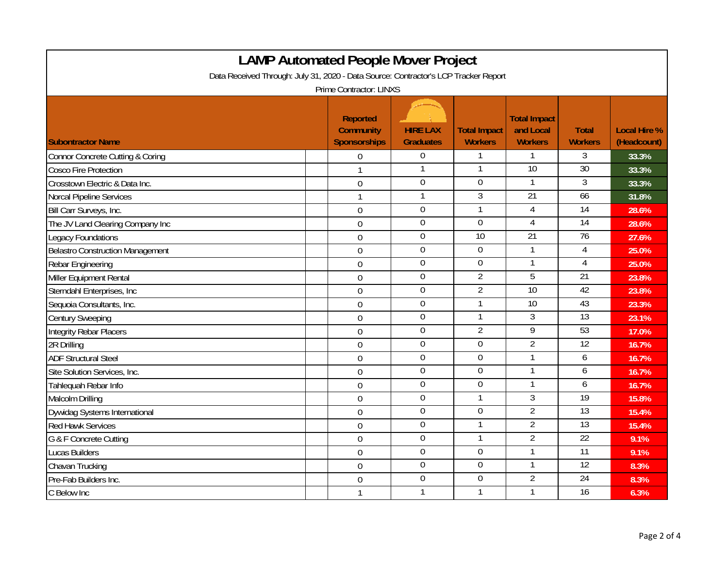| <b>LAMP Automated People Mover Project</b>                                          |  |                                                            |                                     |                                       |                                                    |                                |                                    |
|-------------------------------------------------------------------------------------|--|------------------------------------------------------------|-------------------------------------|---------------------------------------|----------------------------------------------------|--------------------------------|------------------------------------|
| Data Received Through: July 31, 2020 - Data Source: Contractor's LCP Tracker Report |  |                                                            |                                     |                                       |                                                    |                                |                                    |
| Prime Contractor: LINXS                                                             |  |                                                            |                                     |                                       |                                                    |                                |                                    |
| <b>Subontractor Name</b>                                                            |  | <b>Reported</b><br><b>Community</b><br><b>Sponsorships</b> | <b>HIRE LAX</b><br><b>Graduates</b> | <b>Total Impact</b><br><b>Workers</b> | <b>Total Impact</b><br>and Local<br><b>Workers</b> | <b>Total</b><br><b>Workers</b> | <b>Local Hire %</b><br>(Headcount) |
| Connor Concrete Cutting & Coring                                                    |  | 0                                                          | $\overline{0}$                      | 1                                     | $\mathbf{1}$                                       | 3                              | 33.3%                              |
| <b>Cosco Fire Protection</b>                                                        |  | 1                                                          | 1                                   | 1                                     | $\overline{10}$                                    | 30                             | 33.3%                              |
| Crosstown Electric & Data Inc.                                                      |  | $\mathbf 0$                                                | $\boldsymbol{0}$                    | $\boldsymbol{0}$                      | 1                                                  | 3                              | 33.3%                              |
| Norcal Pipeline Services                                                            |  | $\mathbf{1}$                                               | 1                                   | $\overline{3}$                        | 21                                                 | 66                             | 31.8%                              |
| Bill Carr Surveys, Inc.                                                             |  | $\boldsymbol{0}$                                           | $\boldsymbol{0}$                    | 1                                     | 4                                                  | $\overline{14}$                | 28.6%                              |
| The JV Land Clearing Company Inc                                                    |  | $\mathbf 0$                                                | $\overline{0}$                      | $\boldsymbol{0}$                      | $\overline{4}$                                     | 14                             | 28.6%                              |
| Legacy Foundations                                                                  |  | $\mathbf 0$                                                | $\boldsymbol{0}$                    | 10                                    | 21                                                 | 76                             | 27.6%                              |
| Belastro Construction Management                                                    |  | $\mathbf 0$                                                | $\overline{0}$                      | $\overline{0}$                        | $\mathbf{1}$                                       | $\overline{4}$                 | 25.0%                              |
| Rebar Engineering                                                                   |  | $\mathbf 0$                                                | $\mathbf 0$                         | $\boldsymbol{0}$                      | $\mathbf{1}$                                       | $\overline{4}$                 | 25.0%                              |
| Miller Equipment Rental                                                             |  | $\mathbf 0$                                                | $\mathbf 0$                         | $\overline{2}$                        | $\overline{5}$                                     | $\overline{21}$                | 23.8%                              |
| Sterndahl Enterprises, Inc.                                                         |  | $\mathbf 0$                                                | $\mathbf 0$                         | $\overline{2}$                        | $\overline{10}$                                    | 42                             | 23.8%                              |
| Sequoia Consultants, Inc.                                                           |  | $\mathbf 0$                                                | $\mathbf 0$                         | $\mathbf{1}$                          | 10                                                 | 43                             | 23.3%                              |
| <b>Century Sweeping</b>                                                             |  | $\mathbf 0$                                                | $\mathbf 0$                         | 1                                     | 3                                                  | $\overline{13}$                | 23.1%                              |
| <b>Integrity Rebar Placers</b>                                                      |  | $\mathbf 0$                                                | $\mathbf 0$                         | $\overline{2}$                        | $\overline{9}$                                     | 53                             | 17.0%                              |
| 2R Drilling                                                                         |  | $\mathbf 0$                                                | $\mathbf 0$                         | $\boldsymbol{0}$                      | $\overline{2}$                                     | $\overline{12}$                | 16.7%                              |
| <b>ADF Structural Steel</b>                                                         |  | $\overline{0}$                                             | $\overline{0}$                      | $\overline{0}$                        | $\mathbf{1}$                                       | 6                              | 16.7%                              |
| Site Solution Services, Inc.                                                        |  | $\boldsymbol{0}$                                           | $\mathbf 0$                         | $\mathbf 0$                           | 1                                                  | 6                              | 16.7%                              |
| Tahlequah Rebar Info                                                                |  | $\boldsymbol{0}$                                           | $\overline{0}$                      | $\boldsymbol{0}$                      | $\mathbf{1}$                                       | 6                              | 16.7%                              |
| Malcolm Drilling                                                                    |  | $\boldsymbol{0}$                                           | $\mathbf 0$                         | $\mathbf{1}$                          | 3                                                  | $\overline{19}$                | 15.8%                              |
| Dywidag Systems International                                                       |  | $\mathbf 0$                                                | $\overline{0}$                      | $\boldsymbol{0}$                      | $\overline{2}$                                     | 13                             | 15.4%                              |
| <b>Red Hawk Services</b>                                                            |  | $\boldsymbol{0}$                                           | $\boldsymbol{0}$                    | 1                                     | $\overline{2}$                                     | $\overline{13}$                | 15.4%                              |
| G & F Concrete Cutting                                                              |  | $\mathbf 0$                                                | $\overline{0}$                      | 1                                     | $\overline{2}$                                     | 22                             | 9.1%                               |
| Lucas Builders                                                                      |  | $\mathbf 0$                                                | $\boldsymbol{0}$                    | $\boldsymbol{0}$                      | $\mathbf{1}$                                       | $\overline{11}$                | 9.1%                               |
| Chavan Trucking                                                                     |  | $\overline{0}$                                             | $\overline{0}$                      | $\overline{0}$                        | $\mathbf{1}$                                       | 12                             | 8.3%                               |
| Pre-Fab Builders Inc.                                                               |  | $\boldsymbol{0}$                                           | $\overline{0}$                      | $\overline{0}$                        | $\overline{2}$                                     | $\overline{24}$                | 8.3%                               |
| C Below Inc                                                                         |  | $\mathbf{1}$                                               | 1                                   | 1                                     | 1                                                  | $\overline{16}$                | 6.3%                               |

┑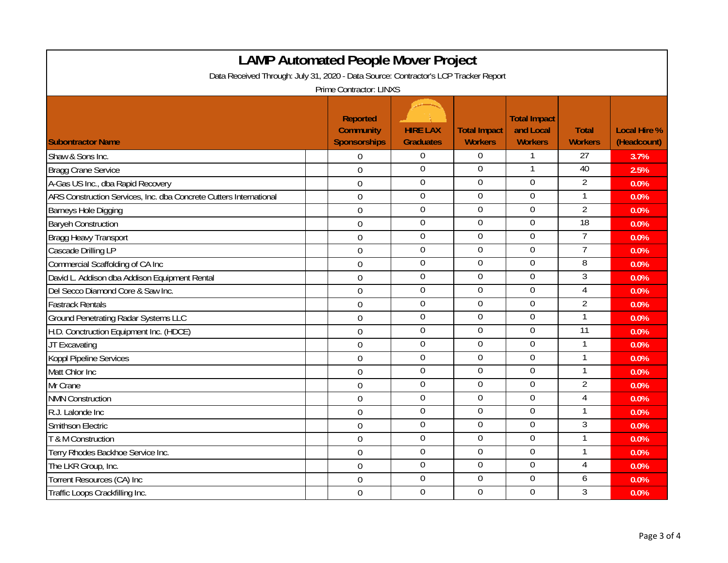| <b>LAMP Automated People Mover Project</b>                                                                     |                  |                  |                  |                  |                 |      |  |
|----------------------------------------------------------------------------------------------------------------|------------------|------------------|------------------|------------------|-----------------|------|--|
| Data Received Through: July 31, 2020 - Data Source: Contractor's LCP Tracker Report<br>Prime Contractor: LINXS |                  |                  |                  |                  |                 |      |  |
|                                                                                                                |                  |                  |                  |                  |                 |      |  |
| Shaw & Sons Inc.                                                                                               | 0                | $\overline{0}$   | $\mathbf 0$      | 1                | $\overline{27}$ | 3.7% |  |
| <b>Bragg Crane Service</b>                                                                                     | $\mathbf 0$      | $\mathbf 0$      | $\mathbf 0$      | 1                | 40              | 2.5% |  |
| A-Gas US Inc., dba Rapid Recovery                                                                              | $\mathbf 0$      | $\boldsymbol{0}$ | $\boldsymbol{0}$ | $\boldsymbol{0}$ | $\overline{2}$  | 0.0% |  |
| ARS Construction Services, Inc. dba Concrete Cutters International                                             | $\overline{0}$   | $\overline{0}$   | $\overline{0}$   | $\overline{0}$   | $\mathbf{1}$    | 0.0% |  |
| Barneys Hole Digging                                                                                           | $\boldsymbol{0}$ | $\overline{0}$   | $\boldsymbol{0}$ | $\boldsymbol{0}$ | $\overline{2}$  | 0.0% |  |
| <b>Baryeh Construction</b>                                                                                     | $\mathbf 0$      | $\overline{0}$   | $\boldsymbol{0}$ | $\overline{0}$   | 18              | 0.0% |  |
| Bragg Heavy Transport                                                                                          | $\mathbf 0$      | $\boldsymbol{0}$ | $\boldsymbol{0}$ | $\boldsymbol{0}$ | $\overline{7}$  | 0.0% |  |
| Cascade Drilling LP                                                                                            | $\overline{0}$   | $\overline{0}$   | $\overline{0}$   | $\overline{0}$   | $\overline{7}$  | 0.0% |  |
| Commercial Scaffolding of CA Inc                                                                               | $\mathbf 0$      | $\mathbf 0$      | $\mathbf 0$      | $\mathbf 0$      | $\overline{8}$  | 0.0% |  |
| David L. Addison dba Addison Equipment Rental                                                                  | $\mathbf 0$      | $\mathbf 0$      | $\mathbf 0$      | $\boldsymbol{0}$ | 3               | 0.0% |  |
| Del Secco Diamond Core & Saw Inc.                                                                              | $\mathbf 0$      | $\mathbf 0$      | $\mathbf 0$      | $\mathbf 0$      | $\overline{4}$  | 0.0% |  |
| <b>Fastrack Rentals</b>                                                                                        | $\overline{0}$   | $\overline{0}$   | $\overline{0}$   | $\mathbf 0$      | $\overline{2}$  | 0.0% |  |
| <b>Ground Penetrating Radar Systems LLC</b>                                                                    | $\mathbf 0$      | $\mathbf 0$      | 0                | $\boldsymbol{0}$ | $\mathbf{1}$    | 0.0% |  |
| H.D. Conctruction Equipment Inc. (HDCE)                                                                        | $\mathbf 0$      | $\mathbf 0$      | $\boldsymbol{0}$ | $\boldsymbol{0}$ | $\overline{11}$ | 0.0% |  |
| JT Excavating                                                                                                  | $\mathbf 0$      | $\mathbf 0$      | $\boldsymbol{0}$ | $\overline{0}$   | 1               | 0.0% |  |
| Koppl Pipeline Services                                                                                        | $\overline{0}$   | $\overline{0}$   | $\overline{0}$   | $\overline{0}$   | $\mathbf{1}$    | 0.0% |  |
| Matt Chlor Inc                                                                                                 | $\boldsymbol{0}$ | $\mathbf 0$      | $\mathbf 0$      | $\mathbf 0$      | 1               | 0.0% |  |
| Mr Crane                                                                                                       | $\mathbf 0$      | $\overline{0}$   | $\mathbf 0$      | $\overline{0}$   | $\overline{2}$  | 0.0% |  |
| <b>NMN Construction</b>                                                                                        | $\boldsymbol{0}$ | $\mathbf 0$      | $\mathbf 0$      | $\overline{0}$   | 4               | 0.0% |  |
| R.J. Lalonde Inc                                                                                               | $\mathbf 0$      | $\overline{0}$   | 0                | $\overline{0}$   | 1               | 0.0% |  |
| Smithson Electric                                                                                              | $\boldsymbol{0}$ | $\boldsymbol{0}$ | $\boldsymbol{0}$ | $\boldsymbol{0}$ | $\overline{3}$  | 0.0% |  |
| T & M Construction                                                                                             | $\mathbf 0$      | $\overline{0}$   | $\boldsymbol{0}$ | $\overline{0}$   | 1               | 0.0% |  |
| Terry Rhodes Backhoe Service Inc.                                                                              | $\mathbf 0$      | $\boldsymbol{0}$ | $\boldsymbol{0}$ | $\boldsymbol{0}$ | $\mathbf{1}$    | 0.0% |  |
| The LKR Group, Inc.                                                                                            | $\mathbf 0$      | $\overline{0}$   | $\overline{0}$   | $\overline{0}$   | $\overline{4}$  | 0.0% |  |
| Torrent Resources (CA) Inc                                                                                     | $\mathbf 0$      | $\overline{0}$   | $\overline{0}$   | $\boldsymbol{0}$ | 6               | 0.0% |  |
| Traffic Loops Crackfilling Inc.                                                                                | $\mathbf 0$      | $\overline{0}$   | $\mathbf 0$      | $\mathbf 0$      | 3               | 0.0% |  |

┑